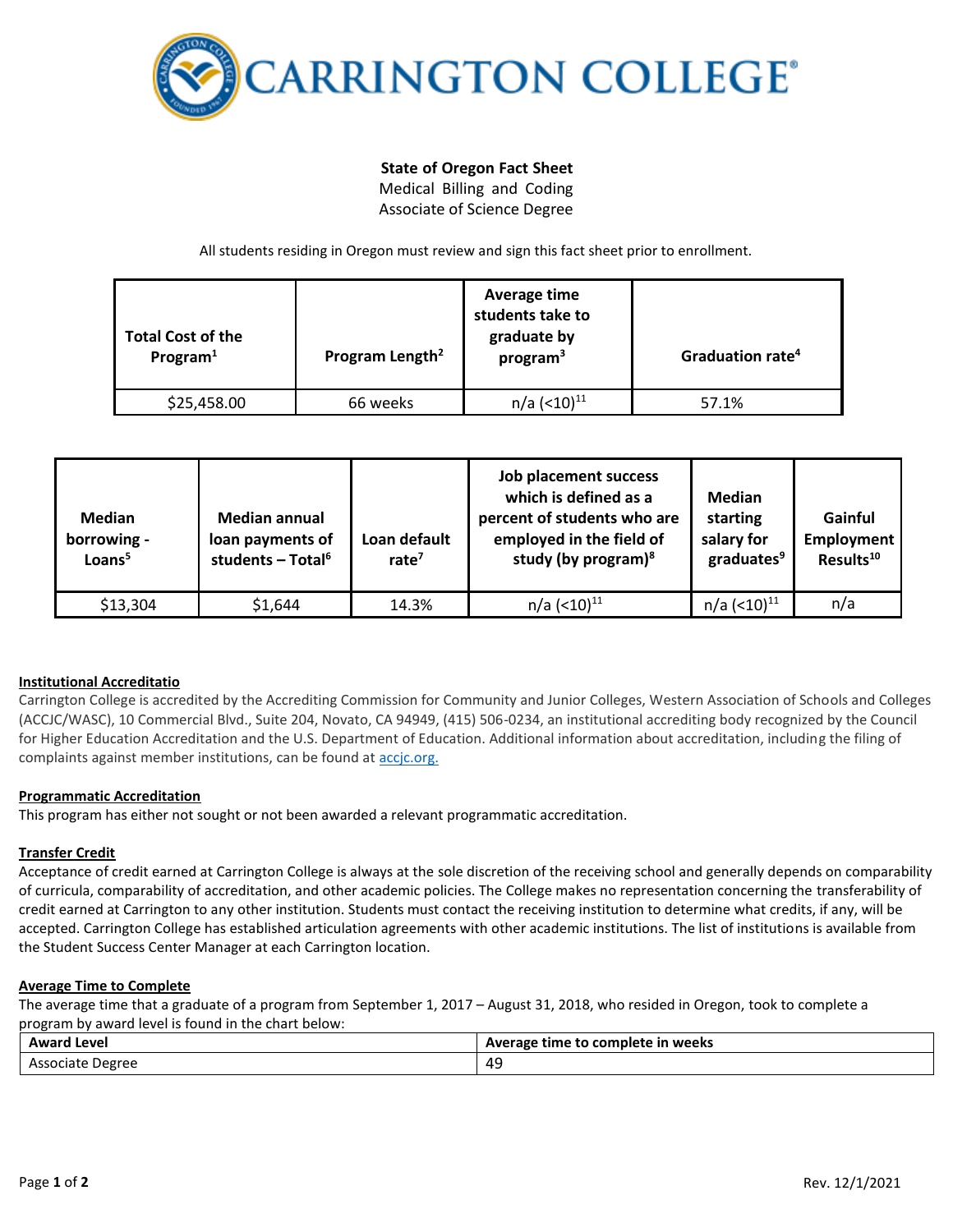

# **State of Oregon Fact Sheet**

Medical Billing and Coding Associate of Science Degree

All students residing in Oregon must review and sign this fact sheet prior to enrollment.

| <b>Total Cost of the</b><br>Program <sup>1</sup> | Program Length <sup>2</sup> | Average time<br>students take to<br>graduate by<br>program <sup>3</sup> | Graduation rate <sup>4</sup> |
|--------------------------------------------------|-----------------------------|-------------------------------------------------------------------------|------------------------------|
| \$25,458.00                                      | 66 weeks                    | n/a (<10) <sup>11</sup>                                                 | 57.1%                        |

| <b>Median</b><br>borrowing -<br>Loans <sup>5</sup> | <b>Median annual</b><br>loan payments of<br>students - Total $6$ | Loan default<br>rate $7$ | Job placement success<br>which is defined as a<br>percent of students who are<br>employed in the field of<br>study (by program) $8$ | <b>Median</b><br>starting<br>salary for<br>graduates <sup>9</sup> | Gainful<br>Employment<br>Results <sup>10</sup> |
|----------------------------------------------------|------------------------------------------------------------------|--------------------------|-------------------------------------------------------------------------------------------------------------------------------------|-------------------------------------------------------------------|------------------------------------------------|
| \$13,304                                           | \$1,644                                                          | 14.3%                    | $n/a$ (<10) <sup>11</sup>                                                                                                           | $n/a$ (<10) $^{11}$                                               | n/a                                            |

## **Institutional Accreditatio**

Carrington College is accredited by the Accrediting Commission for Community and Junior Colleges, Western Association of Schools and Colleges (ACCJC/WASC), 10 Commercial Blvd., Suite 204, Novato, CA 94949, (415) 506-0234, an institutional accrediting body recognized by the Council for Higher Education Accreditation and the U.S. Department of Education. Additional information about accreditation, including the filing of complaints against member institutions, can be found a[t accjc.org.](http://www.accjc.org/)

### **Programmatic Accreditation**

This program has either not sought or not been awarded a relevant programmatic accreditation.

### **Transfer Credit**

Acceptance of credit earned at Carrington College is always at the sole discretion of the receiving school and generally depends on comparability of curricula, comparability of accreditation, and other academic policies. The College makes no representation concerning the transferability of credit earned at Carrington to any other institution. Students must contact the receiving institution to determine what credits, if any, will be accepted. Carrington College has established articulation agreements with other academic institutions. The list of institutions is available from the Student Success Center Manager at each Carrington location.

### **Average Time to Complete**

The average time that a graduate of a program from September 1, 2017 – August 31, 2018, who resided in Oregon, took to complete a program by award level is found in the chart below:

| <b>Award Level</b> | Average time to complete in weeks |
|--------------------|-----------------------------------|
| Associate Degree   | 4°<br>--                          |